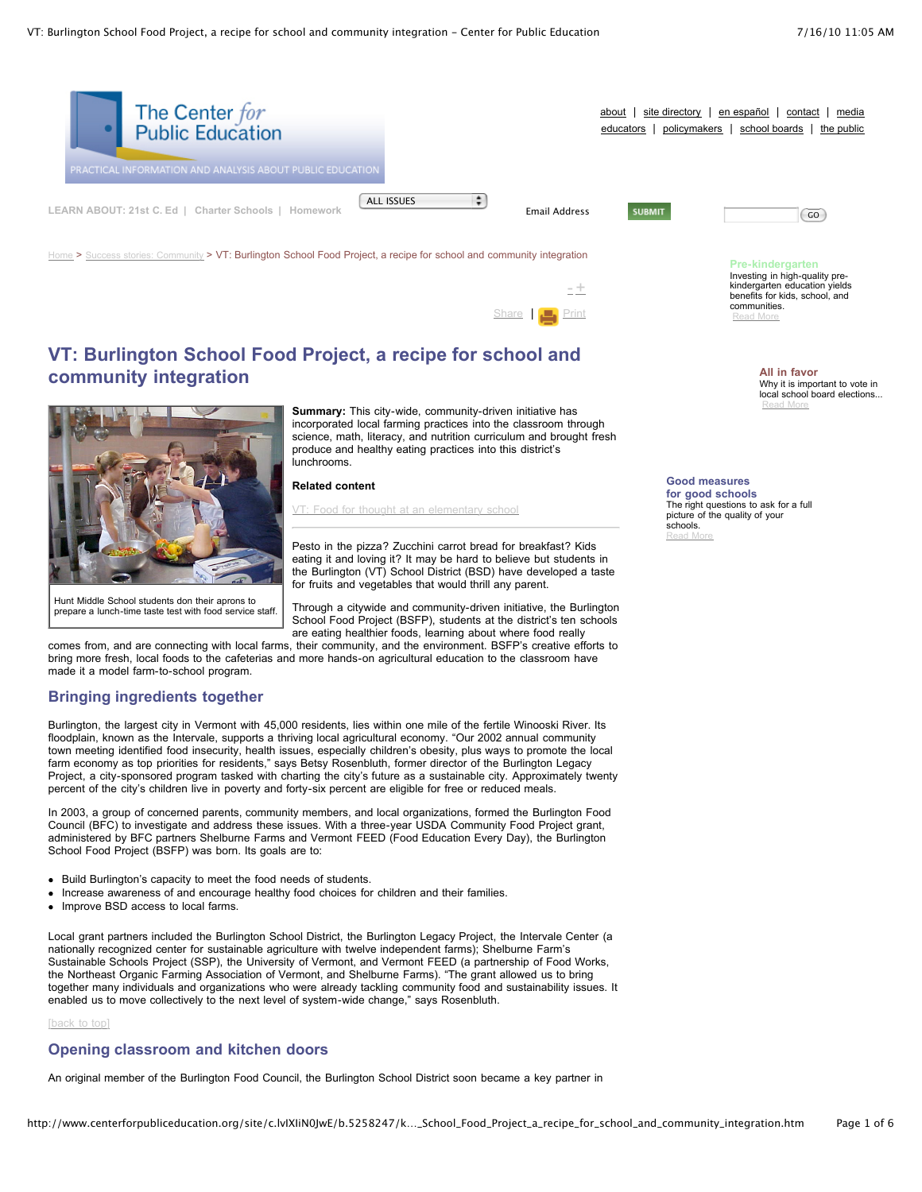

[-](javascript:decreaseFontSize();) [+](javascript:increaseFontSize();) [Share](javascript:void(0)) | [Print](javascript:CallPrint()

# **VT: Burlington School Food Project, a recipe for school and community integration**



prepare a lunch-time taste test with food service staff.

**Summary:** This city-wide, community-driven initiative has incorporated local farming practices into the classroom through science, math, literacy, and nutrition curriculum and brought fresh produce and healthy eating practices into this district's lunchrooms.

**Related content**

Food for thought at an [elementary](http://www.centerforpubliceducation.org/site/lookup.asp?c=lvIXIiN0JwE&b=5258259) school

Pesto in the pizza? Zucchini carrot bread for breakfast? Kids eating it and loving it? It may be hard to believe but students in the Burlington (VT) School District (BSD) have developed a taste for fruits and vegetables that would thrill any parent.

Through a citywide and community-driven initiative, the Burlington School Food Project (BSFP), students at the district's ten schools are eating healthier foods, learning about where food really

comes from, and are connecting with local farms, their community, and the environment. BSFP's creative efforts to bring more fresh, local foods to the cafeterias and more hands-on agricultural education to the classroom have made it a model farm-to-school program.

# **Bringing ingredients together**

Burlington, the largest city in Vermont with 45,000 residents, lies within one mile of the fertile Winooski River. Its floodplain, known as the Intervale, supports a thriving local agricultural economy. "Our 2002 annual community town meeting identified food insecurity, health issues, especially children's obesity, plus ways to promote the local farm economy as top priorities for residents," says Betsy Rosenbluth, former director of the Burlington Legacy Project, a city-sponsored program tasked with charting the city's future as a sustainable city. Approximately twenty percent of the city's children live in poverty and forty-six percent are eligible for free or reduced meals.

In 2003, a group of concerned parents, community members, and local organizations, formed the Burlington Food Council (BFC) to investigate and address these issues. With a three-year USDA Community Food Project grant, administered by BFC partners Shelburne Farms and Vermont FEED (Food Education Every Day), the Burlington School Food Project (BSFP) was born. Its goals are to:

- Build Burlington's capacity to meet the food needs of students.
- Increase awareness of and encourage healthy food choices for children and their families.
- Improve BSD access to local farms.

Local grant partners included the Burlington School District, the Burlington Legacy Project, the Intervale Center (a nationally recognized center for sustainable agriculture with twelve independent farms); Shelburne Farm's Sustainable Schools Project (SSP), the University of Vermont, and Vermont FEED (a partnership of Food Works, the Northeast Organic Farming Association of Vermont, and Shelburne Farms). "The grant allowed us to bring together many individuals and organizations who were already tackling community food and sustainability issues. It enabled us to move collectively to the next level of system-wide change," says Rosenbluth.

[\[back](http://www.centerforpubliceducation.org/site/c.lvIXIiN0JwE/b.5258247/k.8765/VT_Burlington_School_Food_Project_a_recipe_for_school_and_community_integration.htm#Top) to top]

## **Opening classroom and kitchen doors**

An original member of the Burlington Food Council, the Burlington School District soon became a key partner in

**All in favor** Why it is important to vote in local school board elections...

kindergarten education yields benefits for kids, school, and

[Read](http://www.centerforpubliceducation.org/site/lookup.asp?c=lvIXIiN0JwE&b=5137871) More

communities. [Read](http://www.centerforpubliceducation.org/site/lookup.asp?c=lvIXIiN0JwE&b=5137859) More

**Good measures for good schools**

The right questions to ask for a full picture of the quality of your schools. [Read](http://www.centerforpubliceducation.org/site/lookup.asp?c=lvIXIiN0JwE&b=5137869) More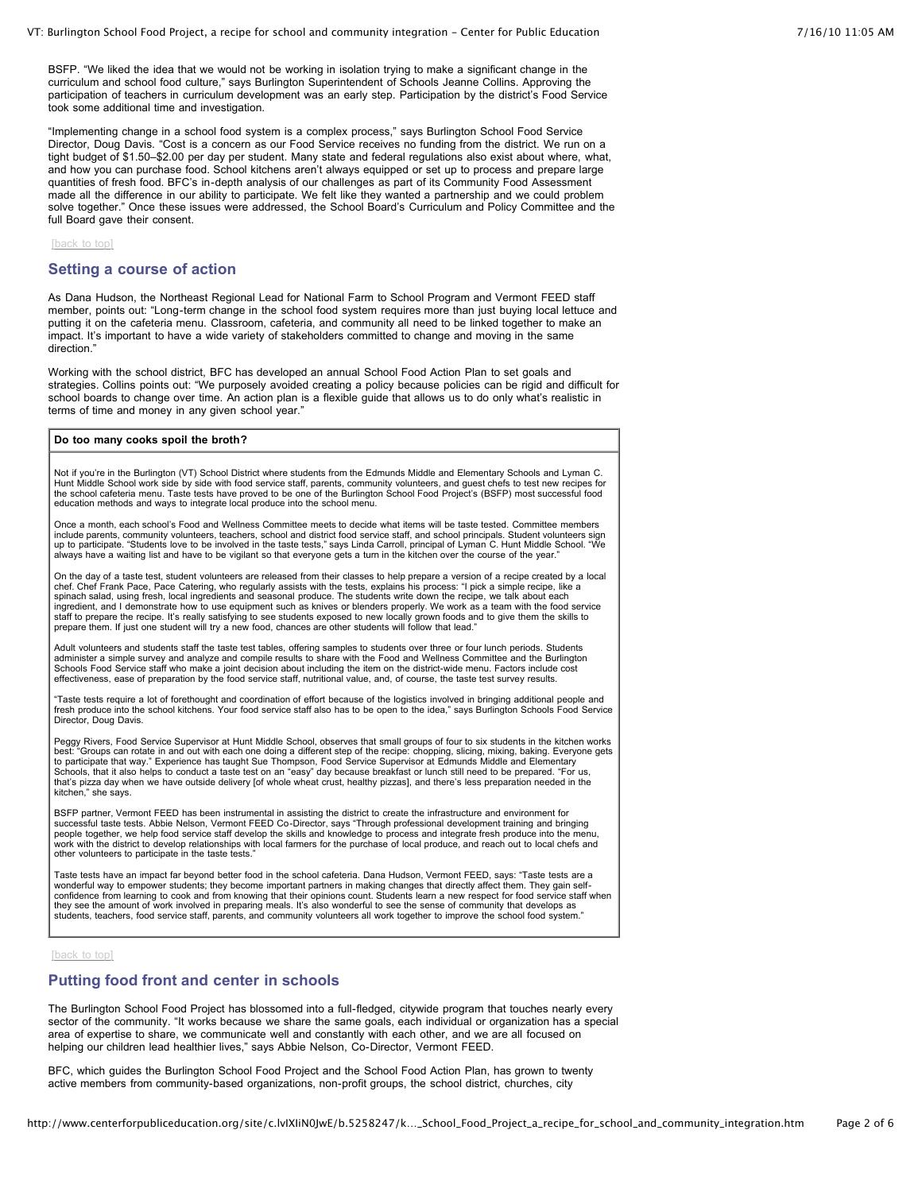BSFP. "We liked the idea that we would not be working in isolation trying to make a significant change in the curriculum and school food culture," says Burlington Superintendent of Schools Jeanne Collins. Approving the participation of teachers in curriculum development was an early step. Participation by the district's Food Service took some additional time and investigation.

"Implementing change in a school food system is a complex process," says Burlington School Food Service Director, Doug Davis. "Cost is a concern as our Food Service receives no funding from the district. We run on a tight budget of \$1.50–\$2.00 per day per student. Many state and federal regulations also exist about where, what, and how you can purchase food. School kitchens aren't always equipped or set up to process and prepare large quantities of fresh food. BFC's in-depth analysis of our challenges as part of its Community Food Assessment made all the difference in our ability to participate. We felt like they wanted a partnership and we could problem solve together." Once these issues were addressed, the School Board's Curriculum and Policy Committee and the full Board gave their consent.

[\[back](http://www.centerforpubliceducation.org/site/c.lvIXIiN0JwE/b.5258247/k.8765/VT_Burlington_School_Food_Project_a_recipe_for_school_and_community_integration.htm#Top) to top]

#### **Setting a course of action**

As Dana Hudson, the Northeast Regional Lead for National Farm to School Program and Vermont FEED staff member, points out: "Long-term change in the school food system requires more than just buying local lettuce and putting it on the cafeteria menu. Classroom, cafeteria, and community all need to be linked together to make an impact. It's important to have a wide variety of stakeholders committed to change and moving in the same direction."

Working with the school district, BFC has developed an annual School Food Action Plan to set goals and strategies. Collins points out: "We purposely avoided creating a policy because policies can be rigid and difficult for school boards to change over time. An action plan is a flexible guide that allows us to do only what's realistic in terms of time and money in any given school year."

#### **Do too many cooks spoil the broth?**

Not if you're in the Burlington (VT) School District where students from the Edmunds Middle and Elementary Schools and Lyman C. Hunt Middle School work side by side with food service staff, parents, community volunteers, and guest chefs to test new recipes for<br>the school cafeteria menu. Taste tests have proved to be one of the Burlington School Foo education methods and ways to integrate local produce into the school menu.

Once a month, each school's Food and Wellness Committee meets to decide what items will be taste tested. Committee members include parents, community volunteers, teachers, school and district food service staff, and school principals. Student volunteers sign<br>up to participate. "Students love to be involved in the taste tests," says Linda Carro always have a waiting list and have to be vigilant so that everyone gets a turn in the kitchen over the course of the year."

On the day of a taste test, student volunteers are released from their classes to help prepare a version of a recipe created by a local chef. Chef Frank Pace, Pace Catering, who regularly assists with the tests, explains his process: "I pick a simple recipe, like a spinach salad, using fresh, local ingredients and seasonal produce. The students write down the recipe, we talk about each ingredient, and I demonstrate how to use equipment such as knives or blenders properly. We work as a team with the food service staff to prepare the recipe. It's really satisfying to see students exposed to new locally grown foods and to give them the skills to<br>prepare them. If just one student will try a new food, chances are other students will f

Adult volunteers and students staff the taste test tables, offering samples to students over three or four lunch periods. Students administer a simple survey and analyze and compile results to share with the Food and Wellness Committee and the Burlington<br>Schools Food Service staff who make a joint decision about including the item on the district-wide effectiveness, ease of preparation by the food service staff, nutritional value, and, of course, the taste test survey results.

"Taste tests require a lot of forethought and coordination of effort because of the logistics involved in bringing additional people and fresh produce into the school kitchens. Your food service staff also has to be open to the idea," says Burlington Schools Food Service Director, Doug Davis.

Peggy Rivers, Food Service Supervisor at Hunt Middle School, observes that small groups of four to six students in the kitchen works<br>best: "Groups can rotate in and out with each one doing a different step of the recipe: c to participate that way." Experience has taught Sue Thompson, Food Service Supervisor at Edmunds Middle and Elementary<br>Schools, that it also helps to conduct a taste test on an "easy" day because breakfast or lunch still n that's pizza day when we have outside delivery [of whole wheat crust, healthy pizzas], and there's less preparation needed in the kitchen," she says.

BSFP partner, Vermont FEED has been instrumental in assisting the district to create the infrastructure and environment for<br>successful taste tests. Abbie Nelson, Vermont FEED Co-Director, says "Through professional develop work with the district to develop relationships with local farmers for the purchase of local produce, and reach out to local chefs and other volunteers to participate in the taste tests."

Taste tests have an impact far beyond better food in the school cafeteria. Dana Hudson, Vermont FEED, says: "Taste tests are a wonderful way to empower students; they become important partners in making changes that directly affect them. They gain self-<br>confidence from learning to cook and from knowing that their opinions count. Students learn a n students, teachers, food service staff, parents, and community volunteers all work together to improve the school food system."

#### [\[back](http://www.centerforpubliceducation.org/site/c.lvIXIiN0JwE/b.5258247/k.8765/VT_Burlington_School_Food_Project_a_recipe_for_school_and_community_integration.htm#Top) to top]

## **Putting food front and center in schools**

The Burlington School Food Project has blossomed into a full-fledged, citywide program that touches nearly every sector of the community. "It works because we share the same goals, each individual or organization has a special area of expertise to share, we communicate well and constantly with each other, and we are all focused on helping our children lead healthier lives," says Abbie Nelson, Co-Director, Vermont FEED.

BFC, which guides the Burlington School Food Project and the School Food Action Plan, has grown to twenty active members from community-based organizations, non-profit groups, the school district, churches, city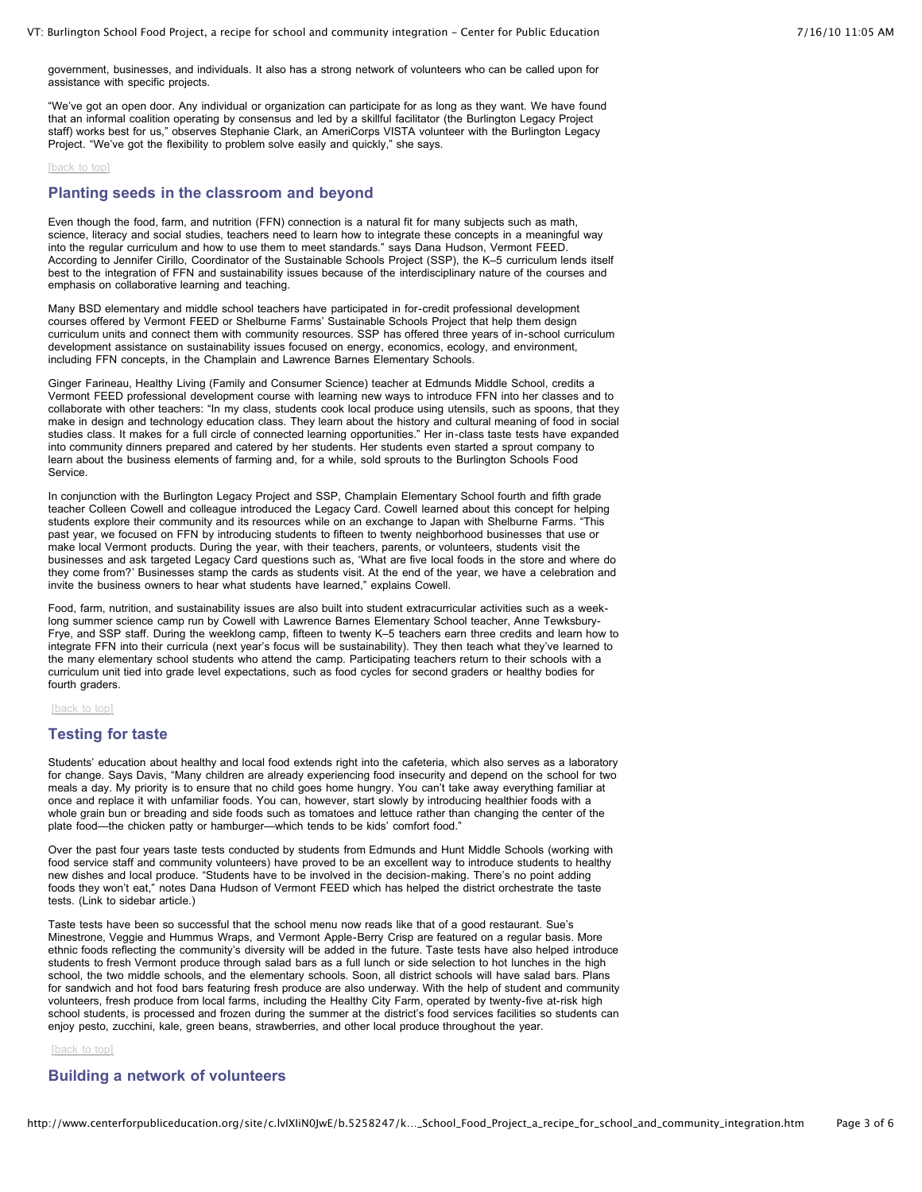government, businesses, and individuals. It also has a strong network of volunteers who can be called upon for assistance with specific projects.

"We've got an open door. Any individual or organization can participate for as long as they want. We have found that an informal coalition operating by consensus and led by a skillful facilitator (the Burlington Legacy Project staff) works best for us," observes Stephanie Clark, an AmeriCorps VISTA volunteer with the Burlington Legacy Project. "We've got the flexibility to problem solve easily and quickly," she says.

#### [\[back](http://www.centerforpubliceducation.org/site/c.lvIXIiN0JwE/b.5258247/k.8765/VT_Burlington_School_Food_Project_a_recipe_for_school_and_community_integration.htm#Top) to top]

## **Planting seeds in the classroom and beyond**

Even though the food, farm, and nutrition (FFN) connection is a natural fit for many subjects such as math, science, literacy and social studies, teachers need to learn how to integrate these concepts in a meaningful way into the regular curriculum and how to use them to meet standards." says Dana Hudson, Vermont FEED. According to Jennifer Cirillo, Coordinator of the Sustainable Schools Project (SSP), the K–5 curriculum lends itself best to the integration of FFN and sustainability issues because of the interdisciplinary nature of the courses and emphasis on collaborative learning and teaching.

Many BSD elementary and middle school teachers have participated in for-credit professional development courses offered by Vermont FEED or Shelburne Farms' Sustainable Schools Project that help them design curriculum units and connect them with community resources. SSP has offered three years of in-school curriculum development assistance on sustainability issues focused on energy, economics, ecology, and environment, including FFN concepts, in the Champlain and Lawrence Barnes Elementary Schools.

Ginger Farineau, Healthy Living (Family and Consumer Science) teacher at Edmunds Middle School, credits a Vermont FEED professional development course with learning new ways to introduce FFN into her classes and to collaborate with other teachers: "In my class, students cook local produce using utensils, such as spoons, that they make in design and technology education class. They learn about the history and cultural meaning of food in social studies class. It makes for a full circle of connected learning opportunities." Her in-class taste tests have expanded into community dinners prepared and catered by her students. Her students even started a sprout company to learn about the business elements of farming and, for a while, sold sprouts to the Burlington Schools Food Service.

In conjunction with the Burlington Legacy Project and SSP, Champlain Elementary School fourth and fifth grade teacher Colleen Cowell and colleague introduced the Legacy Card. Cowell learned about this concept for helping students explore their community and its resources while on an exchange to Japan with Shelburne Farms. "This past year, we focused on FFN by introducing students to fifteen to twenty neighborhood businesses that use or make local Vermont products. During the year, with their teachers, parents, or volunteers, students visit the businesses and ask targeted Legacy Card questions such as, 'What are five local foods in the store and where do they come from?' Businesses stamp the cards as students visit. At the end of the year, we have a celebration and invite the business owners to hear what students have learned," explains Cowell.

Food, farm, nutrition, and sustainability issues are also built into student extracurricular activities such as a weeklong summer science camp run by Cowell with Lawrence Barnes Elementary School teacher, Anne Tewksbury-Frye, and SSP staff. During the weeklong camp, fifteen to twenty K–5 teachers earn three credits and learn how to integrate FFN into their curricula (next year's focus will be sustainability). They then teach what they've learned to the many elementary school students who attend the camp. Participating teachers return to their schools with a curriculum unit tied into grade level expectations, such as food cycles for second graders or healthy bodies for fourth graders.

[\[back](http://www.centerforpubliceducation.org/site/c.lvIXIiN0JwE/b.5258247/k.8765/VT_Burlington_School_Food_Project_a_recipe_for_school_and_community_integration.htm#Top) to top]

## **Testing for taste**

Students' education about healthy and local food extends right into the cafeteria, which also serves as a laboratory for change. Says Davis, "Many children are already experiencing food insecurity and depend on the school for two meals a day. My priority is to ensure that no child goes home hungry. You can't take away everything familiar at once and replace it with unfamiliar foods. You can, however, start slowly by introducing healthier foods with a whole grain bun or breading and side foods such as tomatoes and lettuce rather than changing the center of the plate food—the chicken patty or hamburger—which tends to be kids' comfort food."

Over the past four years taste tests conducted by students from Edmunds and Hunt Middle Schools (working with food service staff and community volunteers) have proved to be an excellent way to introduce students to healthy new dishes and local produce. "Students have to be involved in the decision-making. There's no point adding foods they won't eat," notes Dana Hudson of Vermont FEED which has helped the district orchestrate the taste tests. (Link to sidebar article.)

Taste tests have been so successful that the school menu now reads like that of a good restaurant. Sue's Minestrone, Veggie and Hummus Wraps, and Vermont Apple-Berry Crisp are featured on a regular basis. More ethnic foods reflecting the community's diversity will be added in the future. Taste tests have also helped introduce students to fresh Vermont produce through salad bars as a full lunch or side selection to hot lunches in the high school, the two middle schools, and the elementary schools. Soon, all district schools will have salad bars. Plans for sandwich and hot food bars featuring fresh produce are also underway. With the help of student and community volunteers, fresh produce from local farms, including the Healthy City Farm, operated by twenty-five at-risk high school students, is processed and frozen during the summer at the district's food services facilities so students can enjoy pesto, zucchini, kale, green beans, strawberries, and other local produce throughout the year.

[\[back](http://www.centerforpubliceducation.org/site/c.lvIXIiN0JwE/b.5258247/k.8765/VT_Burlington_School_Food_Project_a_recipe_for_school_and_community_integration.htm#Top) to top]

# **Building a network of volunteers**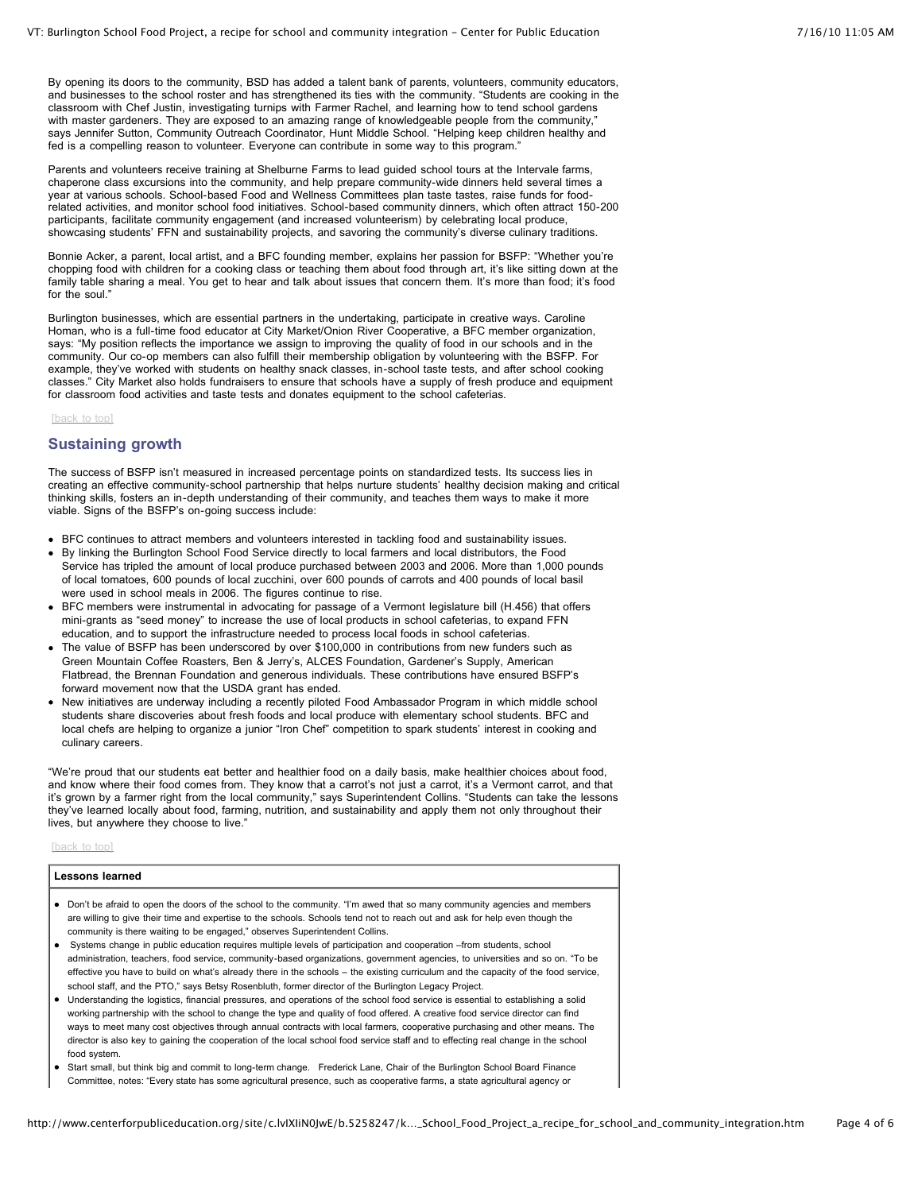By opening its doors to the community, BSD has added a talent bank of parents, volunteers, community educators, and businesses to the school roster and has strengthened its ties with the community. "Students are cooking in the classroom with Chef Justin, investigating turnips with Farmer Rachel, and learning how to tend school gardens with master gardeners. They are exposed to an amazing range of knowledgeable people from the community," says Jennifer Sutton, Community Outreach Coordinator, Hunt Middle School. "Helping keep children healthy and fed is a compelling reason to volunteer. Everyone can contribute in some way to this program."

Parents and volunteers receive training at Shelburne Farms to lead guided school tours at the Intervale farms, chaperone class excursions into the community, and help prepare community-wide dinners held several times a year at various schools. School-based Food and Wellness Committees plan taste tastes, raise funds for foodrelated activities, and monitor school food initiatives. School-based community dinners, which often attract 150-200 participants, facilitate community engagement (and increased volunteerism) by celebrating local produce, showcasing students' FFN and sustainability projects, and savoring the community's diverse culinary traditions.

Bonnie Acker, a parent, local artist, and a BFC founding member, explains her passion for BSFP: "Whether you're chopping food with children for a cooking class or teaching them about food through art, it's like sitting down at the family table sharing a meal. You get to hear and talk about issues that concern them. It's more than food; it's food for the soul."

Burlington businesses, which are essential partners in the undertaking, participate in creative ways. Caroline Homan, who is a full-time food educator at City Market/Onion River Cooperative, a BFC member organization, says: "My position reflects the importance we assign to improving the quality of food in our schools and in the community. Our co-op members can also fulfill their membership obligation by volunteering with the BSFP. For example, they've worked with students on healthy snack classes, in-school taste tests, and after school cooking classes." City Market also holds fundraisers to ensure that schools have a supply of fresh produce and equipment for classroom food activities and taste tests and donates equipment to the school cafeterias.

[\[back](http://www.centerforpubliceducation.org/site/c.lvIXIiN0JwE/b.5258247/k.8765/VT_Burlington_School_Food_Project_a_recipe_for_school_and_community_integration.htm#Top) to top]

#### **Sustaining growth**

The success of BSFP isn't measured in increased percentage points on standardized tests. Its success lies in creating an effective community-school partnership that helps nurture students' healthy decision making and critical thinking skills, fosters an in-depth understanding of their community, and teaches them ways to make it more viable. Signs of the BSFP's on-going success include:

- BFC continues to attract members and volunteers interested in tackling food and sustainability issues.
- By linking the Burlington School Food Service directly to local farmers and local distributors, the Food Service has tripled the amount of local produce purchased between 2003 and 2006. More than 1,000 pounds of local tomatoes, 600 pounds of local zucchini, over 600 pounds of carrots and 400 pounds of local basil were used in school meals in 2006. The figures continue to rise.
- BFC members were instrumental in advocating for passage of a Vermont legislature bill (H.456) that offers mini-grants as "seed money" to increase the use of local products in school cafeterias, to expand FFN education, and to support the infrastructure needed to process local foods in school cafeterias.
- The value of BSFP has been underscored by over \$100,000 in contributions from new funders such as Green Mountain Coffee Roasters, Ben & Jerry's, ALCES Foundation, Gardener's Supply, American Flatbread, the Brennan Foundation and generous individuals. These contributions have ensured BSFP's forward movement now that the USDA grant has ended.
- New initiatives are underway including a recently piloted Food Ambassador Program in which middle school students share discoveries about fresh foods and local produce with elementary school students. BFC and local chefs are helping to organize a junior "Iron Chef" competition to spark students' interest in cooking and culinary careers.

"We're proud that our students eat better and healthier food on a daily basis, make healthier choices about food, and know where their food comes from. They know that a carrot's not just a carrot, it's a Vermont carrot, and that it's grown by a farmer right from the local community," says Superintendent Collins. "Students can take the lessons they've learned locally about food, farming, nutrition, and sustainability and apply them not only throughout their lives, but anywhere they choose to live."

[\[back](http://www.centerforpubliceducation.org/site/c.lvIXIiN0JwE/b.5258247/k.8765/VT_Burlington_School_Food_Project_a_recipe_for_school_and_community_integration.htm#Top) to top]

#### **Lessons learned**

- Don't be afraid to open the doors of the school to the community. "I'm awed that so many community agencies and members are willing to give their time and expertise to the schools. Schools tend not to reach out and ask for help even though the community is there waiting to be engaged," observes Superintendent Collins.
- Systems change in public education requires multiple levels of participation and cooperation –from students, school administration, teachers, food service, community-based organizations, government agencies, to universities and so on. "To be effective you have to build on what's already there in the schools – the existing curriculum and the capacity of the food service, school staff, and the PTO," says Betsy Rosenbluth, former director of the Burlington Legacy Project.
- Understanding the logistics, financial pressures, and operations of the school food service is essential to establishing a solid working partnership with the school to change the type and quality of food offered. A creative food service director can find ways to meet many cost objectives through annual contracts with local farmers, cooperative purchasing and other means. The director is also key to gaining the cooperation of the local school food service staff and to effecting real change in the school food system.
- Start small, but think big and commit to long-term change. Frederick Lane, Chair of the Burlington School Board Finance Committee, notes: "Every state has some agricultural presence, such as cooperative farms, a state agricultural agency or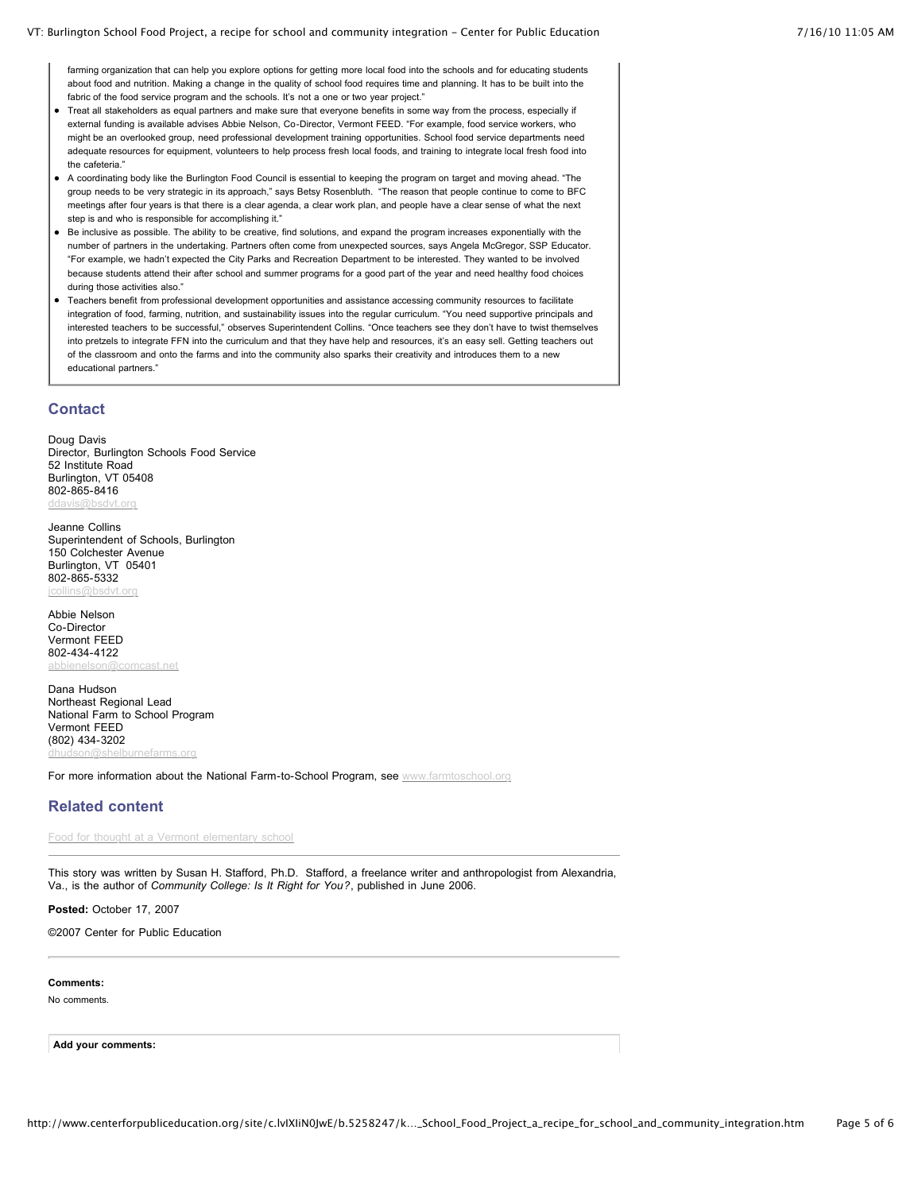farming organization that can help you explore options for getting more local food into the schools and for educating students about food and nutrition. Making a change in the quality of school food requires time and planning. It has to be built into the fabric of the food service program and the schools. It's not a one or two vear project."

- Treat all stakeholders as equal partners and make sure that everyone benefits in some way from the process, especially if external funding is available advises Abbie Nelson, Co-Director, Vermont FEED. "For example, food service workers, who might be an overlooked group, need professional development training opportunities. School food service departments need adequate resources for equipment, volunteers to help process fresh local foods, and training to integrate local fresh food into the cafeteria."
- A coordinating body like the Burlington Food Council is essential to keeping the program on target and moving ahead. "The group needs to be very strategic in its approach," says Betsy Rosenbluth. "The reason that people continue to come to BFC meetings after four years is that there is a clear agenda, a clear work plan, and people have a clear sense of what the next step is and who is responsible for accomplishing it."
- Be inclusive as possible. The ability to be creative, find solutions, and expand the program increases exponentially with the number of partners in the undertaking. Partners often come from unexpected sources, says Angela McGregor, SSP Educator. "For example, we hadn't expected the City Parks and Recreation Department to be interested. They wanted to be involved because students attend their after school and summer programs for a good part of the year and need healthy food choices during those activities also."
- Teachers benefit from professional development opportunities and assistance accessing community resources to facilitate integration of food, farming, nutrition, and sustainability issues into the regular curriculum. "You need supportive principals and interested teachers to be successful," observes Superintendent Collins. "Once teachers see they don't have to twist themselves into pretzels to integrate FFN into the curriculum and that they have help and resources, it's an easy sell. Getting teachers out of the classroom and onto the farms and into the community also sparks their creativity and introduces them to a new educational partners."

## **Contact**

Doug Davis Director, Burlington Schools Food Service 52 Institute Road Burlington, VT 05408 802-865-8416 [ddavis@bsdvt.org](mailto:ddavis@bsdvt.org)

Jeanne Collins Superintendent of Schools, Burlington 150 Colchester Avenue Burlington, VT 05401 802-865-5332 [jcollins@bsdvt.org](mailto:jcollins@bsdvt.org)

Abbie Nelson Co-Director Vermont FEED 802-434-4122 **cast net** 

Dana Hudson Northeast Regional Lead National Farm to School Program Vermont FEED (802) 434-3202 irnefarms.org

For more information about the National Farm-to-School Program, see [www.farmtoschool.org](http://www.farmtoschool.org/)

## **Related content**

Food for thought at a Vermont [elementary](http://www.centerforpubliceducation.org/site/lookup.asp?c=lvIXIiN0JwE&b=5057497) school

This story was written by Susan H. Stafford, Ph.D. Stafford, a freelance writer and anthropologist from Alexandria, Va., is the author of *Community College: Is It Right for You?*, published in June 2006.

**Posted:** October 17, 2007

©2007 Center for Public Education

#### **Comments:**

No comments.

**Add your comments:**